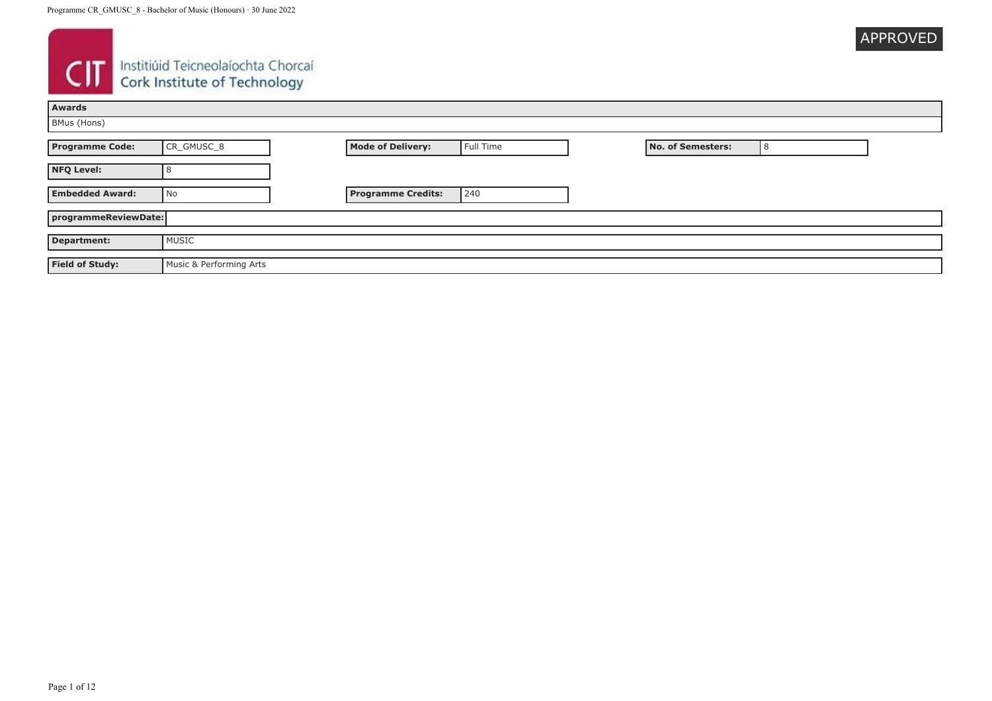

# **CIT** Instituid Teicneolaíochta Chorcaí

| <b>Awards</b>          |                         |                           |           |  |                          |   |  |
|------------------------|-------------------------|---------------------------|-----------|--|--------------------------|---|--|
| BMus (Hons)            |                         |                           |           |  |                          |   |  |
| <b>Programme Code:</b> | CR_GMUSC_8              | <b>Mode of Delivery:</b>  | Full Time |  | <b>No. of Semesters:</b> | 8 |  |
| <b>NFQ Level:</b>      |                         |                           |           |  |                          |   |  |
| <b>Embedded Award:</b> | No                      | <b>Programme Credits:</b> | 240       |  |                          |   |  |
|                        | programmeReviewDate:    |                           |           |  |                          |   |  |
| <b>Department:</b>     | MUSIC                   |                           |           |  |                          |   |  |
| <b>Field of Study:</b> | Music & Performing Arts |                           |           |  |                          |   |  |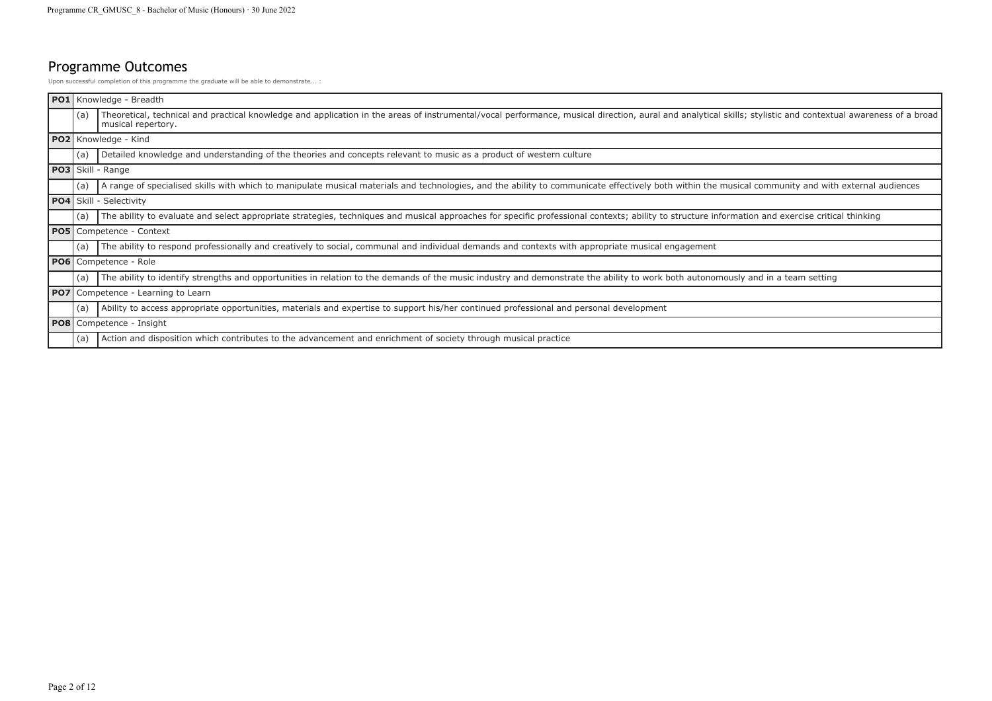## Programme Outcomes

Upon successful completion of this programme the graduate will be able to demonstrate... :

| <b>PO1</b> Knowledge - Breadth |                                                                                                                                                                                                                                    |
|--------------------------------|------------------------------------------------------------------------------------------------------------------------------------------------------------------------------------------------------------------------------------|
| (a)                            | Theoretical, technical and practical knowledge and application in the areas of instrumental/vocal performance, musical direction, aural and analytical skills; stylistic and contextual awareness of a broad<br>musical repertory. |
|                                | PO2 Knowledge - Kind                                                                                                                                                                                                               |
| (a)                            | Detailed knowledge and understanding of the theories and concepts relevant to music as a product of western culture                                                                                                                |
|                                | <b>PO3</b> Skill - Range                                                                                                                                                                                                           |
| (a)                            | A range of specialised skills with which to manipulate musical materials and technologies, and the ability to communicate effectively both within the musical community and with external audiences                                |
|                                | <b>PO4</b> Skill - Selectivity                                                                                                                                                                                                     |
| (a)                            | The ability to evaluate and select appropriate strategies, techniques and musical approaches for specific professional contexts; ability to structure information and exercise critical thinking                                   |
|                                | <b>PO5</b> Competence - Context                                                                                                                                                                                                    |
| (a)                            | The ability to respond professionally and creatively to social, communal and individual demands and contexts with appropriate musical engagement                                                                                   |
|                                | <b>PO6</b> Competence - Role                                                                                                                                                                                                       |
| (a)                            | The ability to identify strengths and opportunities in relation to the demands of the music industry and demonstrate the ability to work both autonomously and in a team setting                                                   |
|                                | <b>PO7</b> Competence - Learning to Learn                                                                                                                                                                                          |
| (a)                            | Ability to access appropriate opportunities, materials and expertise to support his/her continued professional and personal development                                                                                            |
|                                | <b>PO8</b> Competence - Insight                                                                                                                                                                                                    |
| (a)                            | Action and disposition which contributes to the advancement and enrichment of society through musical practice                                                                                                                     |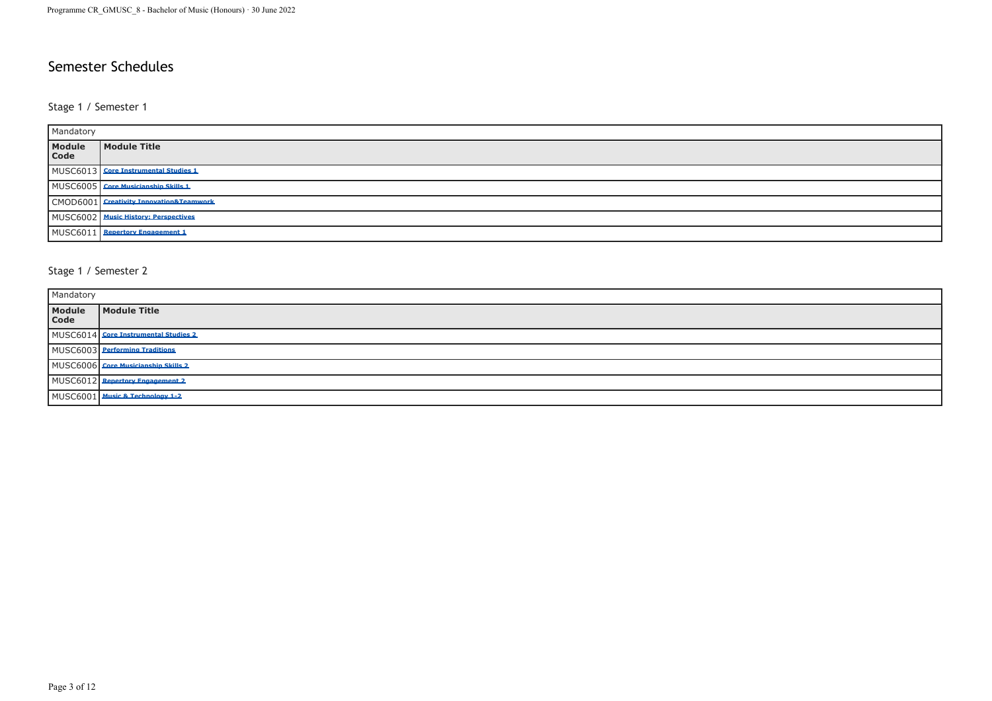### Semester Schedules

#### Stage 1 / Semester 1

| Mandatory      |                                         |
|----------------|-----------------------------------------|
| Module<br>Code | Module Title                            |
|                | MUSC6013 Core Instrumental Studies 1    |
|                | MUSC6005 Core Musicianship Skills 1     |
|                | CMOD6001 Creativity Innovation&Teamwork |
|                | MUSC6002 Music History: Perspectives    |
|                | MUSC6011 Repertory Engagement 1         |

#### Stage 1 / Semester 2

| Mandatory      |                                      |  |
|----------------|--------------------------------------|--|
| Module<br>Code | Module Title                         |  |
|                | MUSC6014 Core Instrumental Studies 2 |  |
|                | MUSC6003 Performing Traditions       |  |
|                | MUSC6006 Core Musicianship Skills 2  |  |
|                | MUSC6012 Repertory Engagement 2      |  |
|                | MUSC6001 Music & Technology 1-2      |  |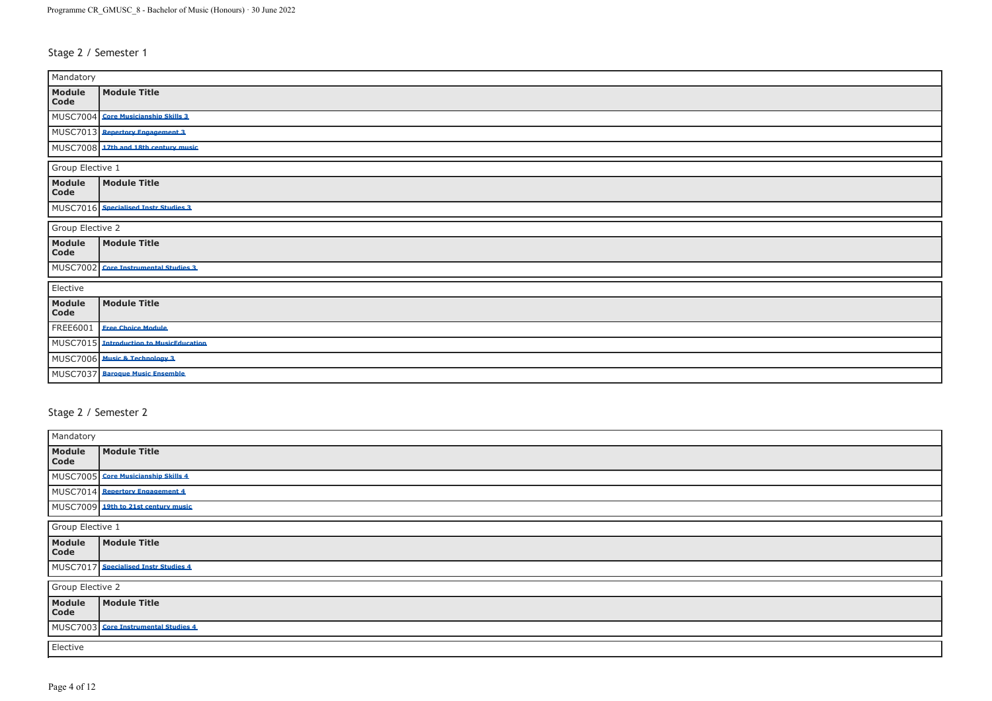#### Stage 2 / Semester 1

| Mandatory        |                                       |  |  |
|------------------|---------------------------------------|--|--|
| Module<br>Code   | <b>Module Title</b>                   |  |  |
| MUSC7004         | <b>Core Musicianship Skills 3</b>     |  |  |
| MUSC7013         | <b>Repertory Engagement 3</b>         |  |  |
| MUSC7008         | 17th and 18th century music           |  |  |
| Group Elective 1 |                                       |  |  |
| Module<br>Code   | <b>Module Title</b>                   |  |  |
|                  | MUSC7016 Specialised Instr Studies 3  |  |  |
| Group Elective 2 |                                       |  |  |
| Module<br>Code   | <b>Module Title</b>                   |  |  |
| <b>MUSC7002</b>  | <b>Core Instrumental Studies 3</b>    |  |  |
| Elective         |                                       |  |  |
| Module<br>Code   | <b>Module Title</b>                   |  |  |
| FREE6001         | <b>Free Choice Module</b>             |  |  |
| <b>MUSC7015</b>  | <b>Introduction to MusicEducation</b> |  |  |
| MUSC7006         | <b>Music &amp; Technology 3</b>       |  |  |
| MUSC7037         | <b>Baroque Music Ensemble</b>         |  |  |

#### Stage 2 / Semester 2

| Mandatory        |                                      |  |
|------------------|--------------------------------------|--|
| Module<br>Code   | Module Title                         |  |
|                  | MUSC7005 Core Musicianship Skills 4  |  |
|                  | MUSC7014 Repertory Engagement 4      |  |
|                  | MUSC7009 19th to 21st century music  |  |
| Group Elective 1 |                                      |  |
| Module<br>Code   | Module Title                         |  |
|                  | MUSC7017 Specialised Instr Studies 4 |  |
|                  | Group Elective 2                     |  |
| Module<br>Code   | Module Title                         |  |
|                  | MUSC7003 Core Instrumental Studies 4 |  |
| Elective         |                                      |  |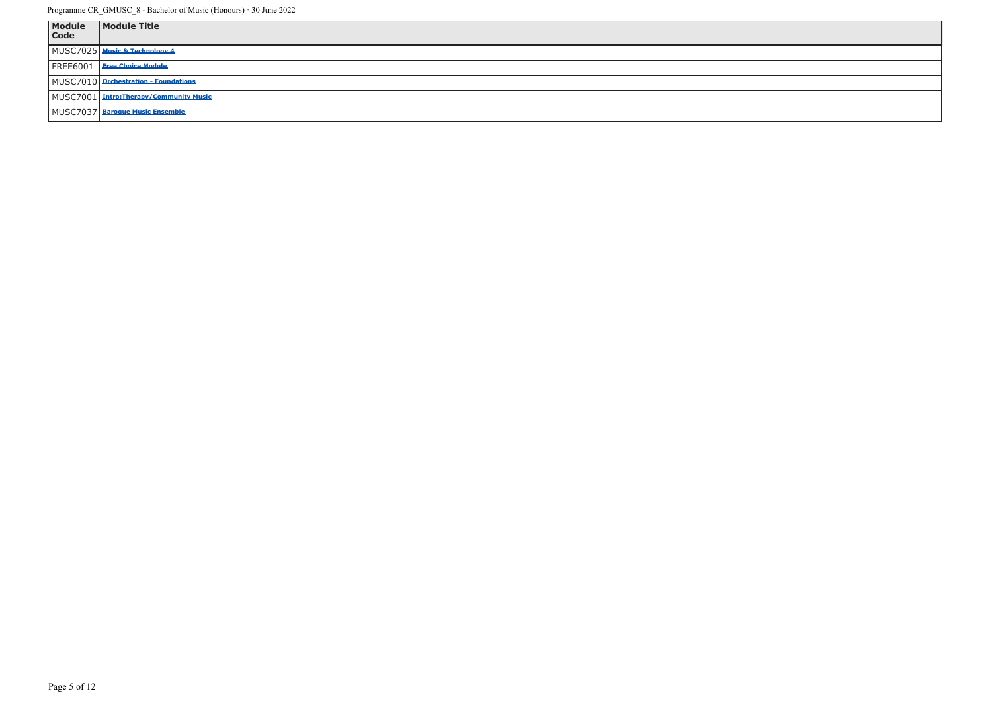| Module<br>Code | Module Title                           |
|----------------|----------------------------------------|
|                | MUSC7025 Music & Technology 4          |
|                | FREE6001   Free Choice Module          |
|                | MUSC7010 Orchestration - Foundations   |
|                | MUSC7001 Intro:Therapy/Community Music |
|                | MUSC7037 Baroque Music Ensemble        |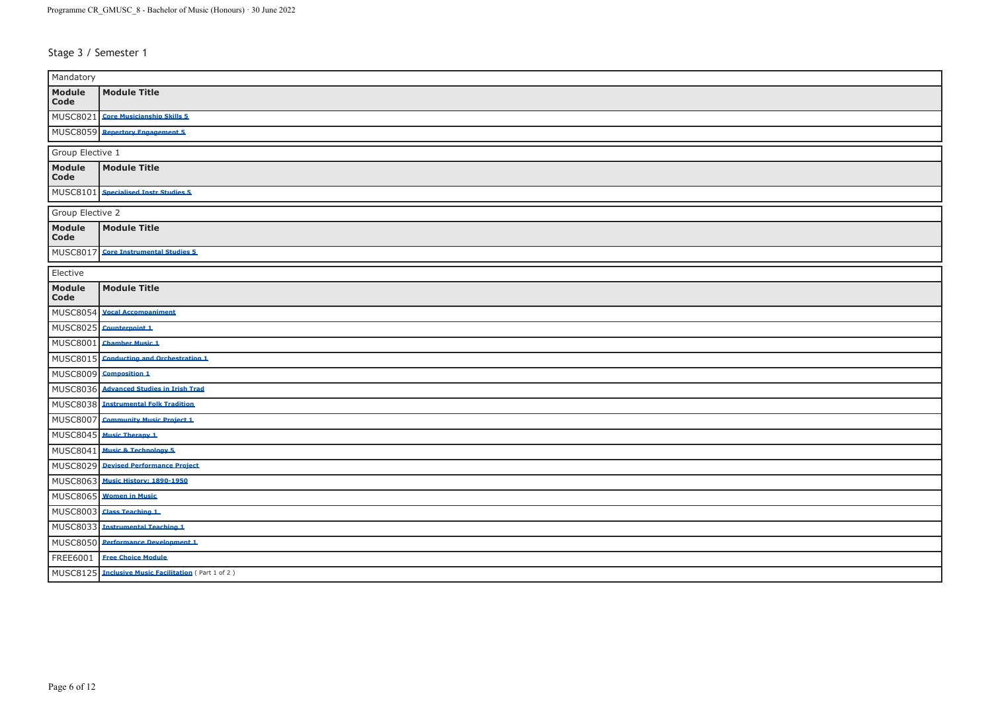Stage 3 / Semester 1

| Mandatory                 |                                                   |  |
|---------------------------|---------------------------------------------------|--|
| Module<br>Code            | <b>Module Title</b>                               |  |
| MUSC8021                  | <b>Core Musicianship Skills 5</b>                 |  |
|                           | MUSC8059 Repertory Engagement 5                   |  |
| Group Elective 1          |                                                   |  |
| Module<br>$\mathbf{Code}$ | <b>Module Title</b>                               |  |
| MUSC8101                  | <b>Specialised Instr Studies 5</b>                |  |
| Group Elective 2          |                                                   |  |
| Module<br>Code            | <b>Module Title</b>                               |  |
| <b>MUSC8017</b>           | <b>Core Instrumental Studies 5</b>                |  |
| Elective                  |                                                   |  |
| Module<br>Code            | <b>Module Title</b>                               |  |
| <b>MUSC8054</b>           | <b>Vocal Accompaniment</b>                        |  |
| <b>MUSC8025</b>           | Counterpoint 1                                    |  |
| MUSC8001                  | <b>Chamber Music 1</b>                            |  |
| MUSC8015                  | <b>Conducting and Orchestration 1</b>             |  |
| <b>MUSC8009</b>           | <b>Composition 1</b>                              |  |
| <b>MUSC8036</b>           | <b>Advanced Studies in Irish Trad</b>             |  |
|                           | MUSC8038 Instrumental Folk Tradition              |  |
| MUSC8007                  | <b>Community Music Project 1</b>                  |  |
| <b>MUSC8045</b>           | <b>Music Therapy 1</b>                            |  |
| MUSC8041                  | <b>Music &amp; Technology 5</b>                   |  |
|                           | MUSC8029 Devised Performance Project              |  |
|                           | MUSC8063 Music History: 1890-1950                 |  |
| <b>MUSC8065</b>           | <b>Women in Music</b>                             |  |
| <b>MUSC8003</b>           | <b>Class Teaching 1</b>                           |  |
| MUSC8033                  | <b>Instrumental Teaching 1</b>                    |  |
|                           | MUSC8050 Performance Development 1                |  |
| FREE6001                  | <b>Free Choice Module</b>                         |  |
| MUSC8125                  | <b>Inclusive Music Facilitation</b> (Part 1 of 2) |  |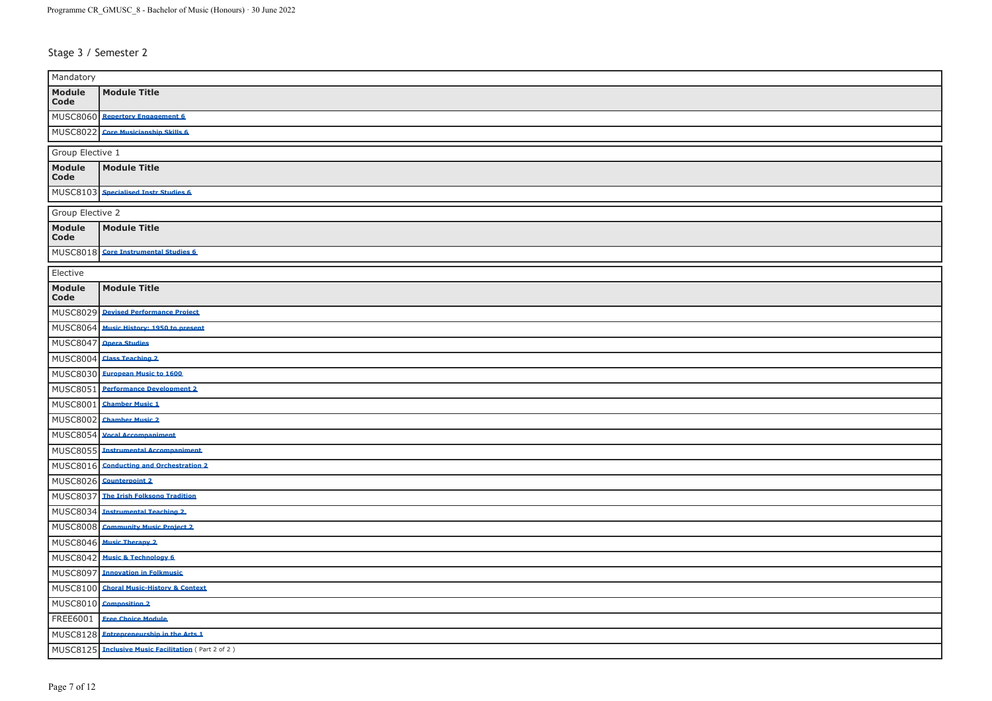Stage 3 / Semester 2

| Mandatory                 |                                                   |  |
|---------------------------|---------------------------------------------------|--|
| Module<br>$\mathbf{Code}$ | <b>Module Title</b>                               |  |
|                           | MUSC8060 Repertory Engagement 6                   |  |
| MUSC8022                  | <b>Core Musicianship Skills 6</b>                 |  |
| Group Elective 1          |                                                   |  |
| Module<br>Code            | <b>Module Title</b>                               |  |
|                           | MUSC8103 Specialised Instr Studies 6              |  |
| Group Elective 2          |                                                   |  |
| Module<br>$\mathbf C$ ode | <b>Module Title</b>                               |  |
| MUSC8018                  | <b>Core Instrumental Studies 6</b>                |  |
| Elective                  |                                                   |  |
| Module<br>Code            | <b>Module Title</b>                               |  |
| MUSC8029                  | <b>Devised Performance Project</b>                |  |
| MUSC8064                  | Music History: 1950 to present                    |  |
| <b>MUSC8047</b>           | <b>Opera Studies</b>                              |  |
| MUSC8004                  | <b>Class Teaching 2</b>                           |  |
| MUSC8030                  | <b>European Music to 1600</b>                     |  |
| MUSC8051                  | <b>Performance Development 2</b>                  |  |
| MUSC8001                  | <b>Chamber Music 1</b>                            |  |
| <b>MUSC8002</b>           | <b>Chamber Music 2</b>                            |  |
| <b>MUSC8054</b>           | <b>Vocal Accompaniment</b>                        |  |
| <b>MUSC8055</b>           | <b>Instrumental Accompaniment</b>                 |  |
| MUSC8016                  | <b>Conducting and Orchestration 2</b>             |  |
| MUSC8026                  | <b>Counterpoint 2</b>                             |  |
| MUSC8037                  | <b>The Irish Folksong Tradition</b>               |  |
| MUSC8034                  | <b>Instrumental Teaching 2</b>                    |  |
| <b>MUSC8008</b>           | <b>Community Music Project 2</b>                  |  |
| MUSC8046                  | <b>Music Therapy 2</b>                            |  |
| MUSC8042                  | <b>Music &amp; Technology 6</b>                   |  |
| MUSC8097                  | <b>Innovation in Folkmusic</b>                    |  |
|                           | MUSC8100 Choral Music-History & Context           |  |
|                           | MUSC8010 Composition 2                            |  |
| FREE6001                  | <b>Free Choice Module</b>                         |  |
| <b>MUSC8128</b>           | <b>Entrepreneurship in the Arts 1</b>             |  |
| MUSC8125                  | <b>Inclusive Music Facilitation</b> (Part 2 of 2) |  |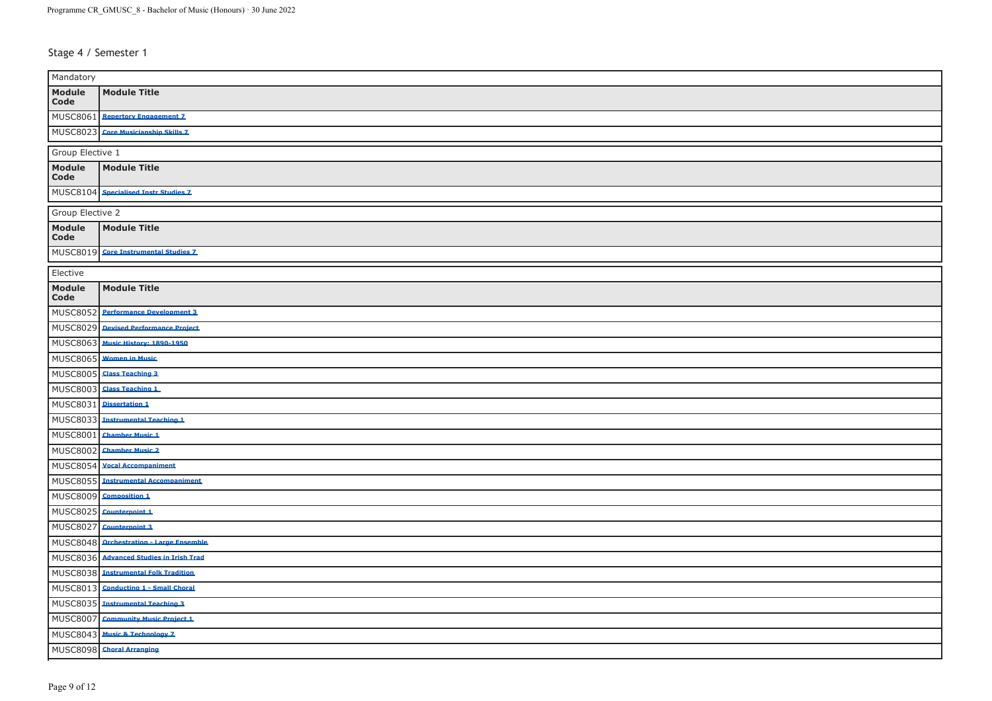Stage 4 / Semester 1

| Mandatory                 |                                       |  |
|---------------------------|---------------------------------------|--|
| Module<br>$\mathsf{Code}$ | <b>Module Title</b>                   |  |
| MUSC8061                  | <b>Repertory Engagement 7</b>         |  |
| MUSC8023                  | <b>Core Musicianship Skills 7</b>     |  |
| Group Elective 1          |                                       |  |
| Module<br>Code            | <b>Module Title</b>                   |  |
|                           | MUSC8104 Specialised Instr Studies Z  |  |
| Group Elective 2          |                                       |  |
| Module<br>$\mathsf{Code}$ | <b>Module Title</b>                   |  |
| MUSC8019                  | <b>Core Instrumental Studies 7</b>    |  |
| Elective                  |                                       |  |
| Module<br>Code            | <b>Module Title</b>                   |  |
| <b>MUSC8052</b>           | <b>Performance Development 3</b>      |  |
| MUSC8029                  | Devised Performance Project           |  |
|                           | MUSC8063 Music History: 1890-1950     |  |
|                           | MUSC8065 Women in Music               |  |
|                           | MUSC8005 Class Teaching 3             |  |
| <b>MUSC8003</b>           | <b>Class Teaching 1</b>               |  |
| MUSC8031                  | Dissertation 1                        |  |
| MUSC8033                  | <b>Instrumental Teaching 1</b>        |  |
| <b>MUSC8001</b>           | <b>Chamber Music 1</b>                |  |
| MUSC8002                  | <b>Chamber Music 2</b>                |  |
| <b>MUSC8054</b>           | <b>Vocal Accompaniment</b>            |  |
| <b>MUSC8055</b>           | <b>Instrumental Accompaniment</b>     |  |
| MUSC8009                  | <b>Composition 1</b>                  |  |
| <b>MUSC8025</b>           | Counterpoint 1                        |  |
| MUSC8027                  | Counterpoint 3                        |  |
| MUSC8048                  | <b>Orchestration - Large Ensemble</b> |  |
| MUSC8036                  | <b>Advanced Studies in Trish Trad</b> |  |
| MUSC8038                  | <b>Instrumental Folk Tradition</b>    |  |
| MUSC8013                  | <b>Conducting 1 - Small Choral</b>    |  |
|                           | MUSC8035 Instrumental Teaching 3      |  |
| <b>MUSC8007</b>           | <b>Community Music Project 1</b>      |  |
| MUSC8043                  | <b>Music &amp; Technology 7</b>       |  |
| <b>MUSC8098</b>           | <b>Choral Arranging</b>               |  |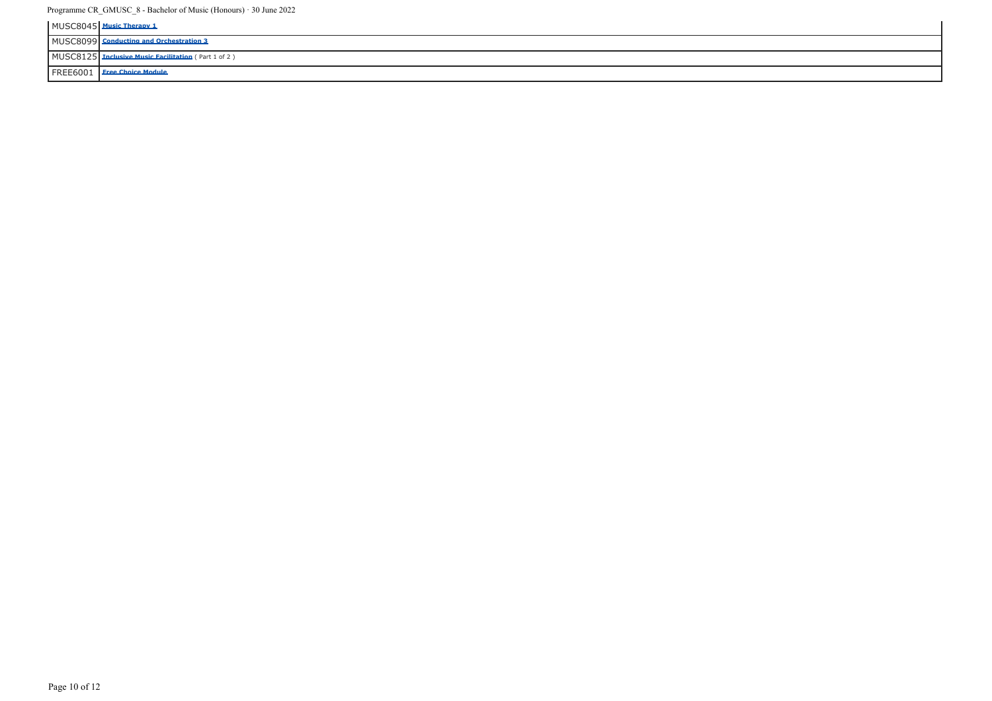|  | c Therany 1                                       |
|--|---------------------------------------------------|
|  | <b>Conducting and Orchestration 3</b>             |
|  | <b>Inclusive Music Facilitation</b> (Part 1 of 2) |
|  | FREE6001   Free Choice Module                     |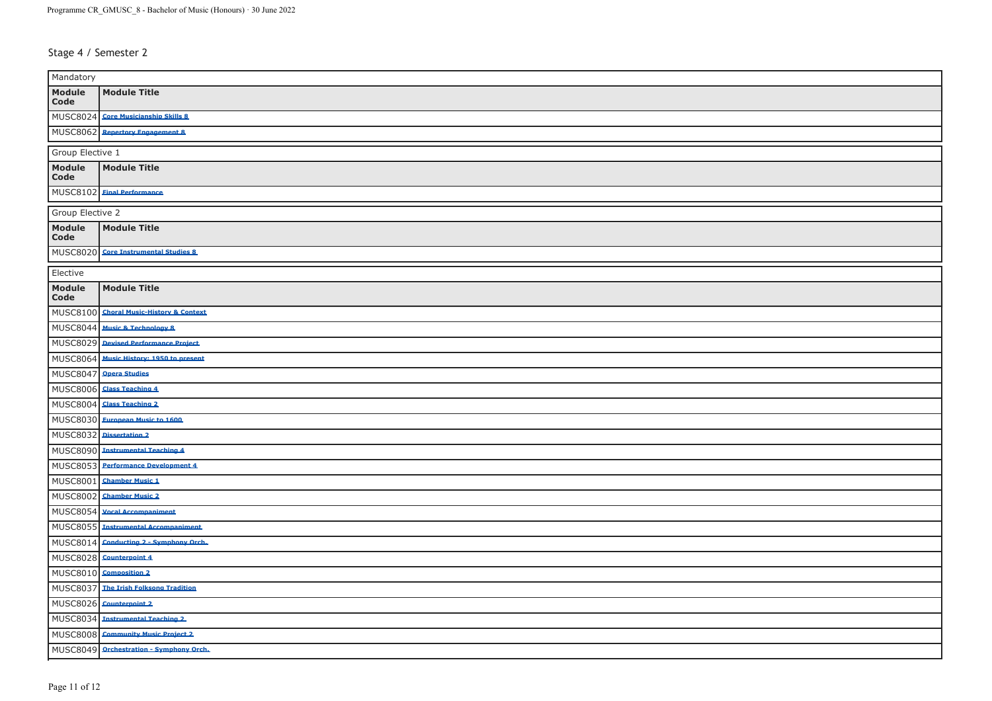Stage 4 / Semester 2

| Mandatory                 |                                           |  |
|---------------------------|-------------------------------------------|--|
| Module<br>$\mathsf{Code}$ | <b>Module Title</b>                       |  |
|                           | MUSC8024 Core Musicianship Skills 8       |  |
| MUSC8062                  | <b>Repertory Engagement 8</b>             |  |
| Group Elective 1          |                                           |  |
| Module<br>Code            | <b>Module Title</b>                       |  |
|                           | MUSC8102 Einal Performance                |  |
| Group Elective 2          |                                           |  |
| Module<br>Code            | <b>Module Title</b>                       |  |
|                           | MUSC8020 Core Instrumental Studies 8      |  |
| Elective                  |                                           |  |
| <b>Module</b><br>Code     | <b>Module Title</b>                       |  |
| MUSC8100                  | <b>Choral Music-History &amp; Context</b> |  |
|                           | MUSC8044 Music & Technology &             |  |
|                           | MUSC8029 Devised Performance Project      |  |
|                           | MUSC8064 Music History: 1950 to present   |  |
|                           | MUSC8047 Opera Studies                    |  |
| MUSC8006                  | <b>Class Teaching 4</b>                   |  |
| MUSC8004                  | <b>Class Teaching 2</b>                   |  |
| <b>MUSC8030</b>           | <b>European Music to 1600</b>             |  |
| MUSC8032                  | <b>Dissertation 2</b>                     |  |
| <b>MUSC8090</b>           | <b>Instrumental Teaching 4</b>            |  |
| <b>MUSC8053</b>           | <b>Performance Development 4</b>          |  |
| MUSC8001                  | <b>Chamber Music 1</b>                    |  |
| MUSC8002                  | <b>Chamber Music 2</b>                    |  |
|                           | MUSC8054 Vocal Accompaniment              |  |
| <b>MUSC8055</b>           | <b>Instrumental Accompaniment</b>         |  |
| MUSC8014                  | <b>Conducting 2 - Symphony Orch.</b>      |  |
|                           | MUSC8028 Counterpoint 4                   |  |
| MUSC8010                  | <b>Composition 2</b>                      |  |
| MUSC8037                  | <b>The Irish Folksong Tradition</b>       |  |
|                           | MUSC8026 Counterpoint 2                   |  |
| MUSC8034                  | <b>Instrumental Teaching 2</b>            |  |
| <b>MUSC8008</b>           | <b>Community Music Project 2</b>          |  |
|                           | MUSC8049 Orchestration - Symphony Orch.   |  |